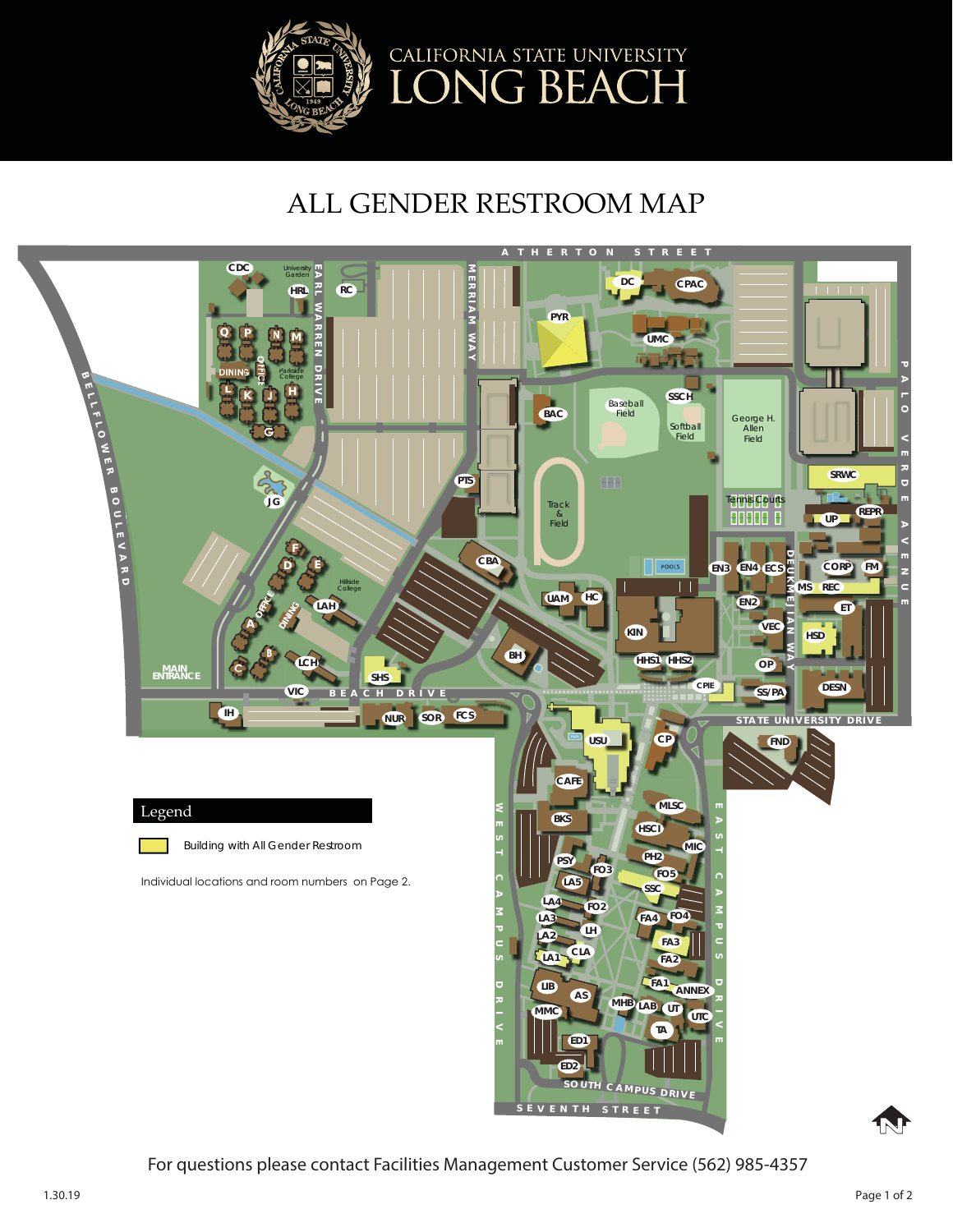

## ALL GENDER RESTROOM MAP



For questions please contact Facilities Management Customer Service (562) 985-4357